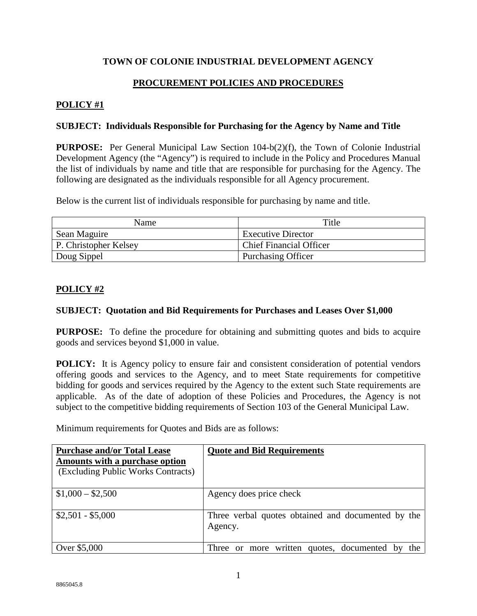# **TOWN OF COLONIE INDUSTRIAL DEVELOPMENT AGENCY**

# **PROCUREMENT POLICIES AND PROCEDURES**

# **POLICY #1**

### **SUBJECT: Individuals Responsible for Purchasing for the Agency by Name and Title**

**PURPOSE:** Per General Municipal Law Section 104-b(2)(f), the Town of Colonie Industrial Development Agency (the "Agency") is required to include in the Policy and Procedures Manual the list of individuals by name and title that are responsible for purchasing for the Agency. The following are designated as the individuals responsible for all Agency procurement.

Below is the current list of individuals responsible for purchasing by name and title.

| <b>Name</b>           | Title                          |
|-----------------------|--------------------------------|
| Sean Maguire          | <b>Executive Director</b>      |
| P. Christopher Kelsey | <b>Chief Financial Officer</b> |
| Doug Sippel           | <b>Purchasing Officer</b>      |

# **POLICY #2**

# **SUBJECT: Quotation and Bid Requirements for Purchases and Leases Over \$1,000**

**PURPOSE:** To define the procedure for obtaining and submitting quotes and bids to acquire goods and services beyond \$1,000 in value.

**POLICY:** It is Agency policy to ensure fair and consistent consideration of potential vendors offering goods and services to the Agency, and to meet State requirements for competitive bidding for goods and services required by the Agency to the extent such State requirements are applicable. As of the date of adoption of these Policies and Procedures, the Agency is not subject to the competitive bidding requirements of Section 103 of the General Municipal Law.

Minimum requirements for Quotes and Bids are as follows:

| <b>Purchase and/or Total Lease</b><br>Amounts with a purchase option<br>(Excluding Public Works Contracts) | <b>Quote and Bid Requirements</b>                             |
|------------------------------------------------------------------------------------------------------------|---------------------------------------------------------------|
| $$1,000 - $2,500$                                                                                          | Agency does price check                                       |
| $$2,501 - $5,000$                                                                                          | Three verbal quotes obtained and documented by the<br>Agency. |
| Over \$5,000                                                                                               | or more written quotes, documented by<br>the<br>Three         |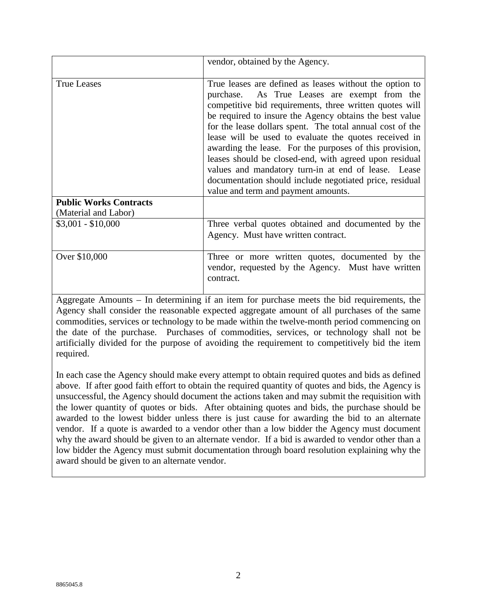|                               | vendor, obtained by the Agency.                                                                                                                                                                                                                                                                                                                                                                                                                                                                                                                                                                                                   |
|-------------------------------|-----------------------------------------------------------------------------------------------------------------------------------------------------------------------------------------------------------------------------------------------------------------------------------------------------------------------------------------------------------------------------------------------------------------------------------------------------------------------------------------------------------------------------------------------------------------------------------------------------------------------------------|
| <b>True Leases</b>            | True leases are defined as leases without the option to<br>purchase. As True Leases are exempt from the<br>competitive bid requirements, three written quotes will<br>be required to insure the Agency obtains the best value<br>for the lease dollars spent. The total annual cost of the<br>lease will be used to evaluate the quotes received in<br>awarding the lease. For the purposes of this provision,<br>leases should be closed-end, with agreed upon residual<br>values and mandatory turn-in at end of lease. Lease<br>documentation should include negotiated price, residual<br>value and term and payment amounts. |
| <b>Public Works Contracts</b> |                                                                                                                                                                                                                                                                                                                                                                                                                                                                                                                                                                                                                                   |
| (Material and Labor)          |                                                                                                                                                                                                                                                                                                                                                                                                                                                                                                                                                                                                                                   |
| $$3,001 - $10,000$            | Three verbal quotes obtained and documented by the<br>Agency. Must have written contract.                                                                                                                                                                                                                                                                                                                                                                                                                                                                                                                                         |
| Over \$10,000                 | Three or more written quotes, documented by the<br>vendor, requested by the Agency. Must have written<br>contract.                                                                                                                                                                                                                                                                                                                                                                                                                                                                                                                |

Aggregate Amounts – In determining if an item for purchase meets the bid requirements, the Agency shall consider the reasonable expected aggregate amount of all purchases of the same commodities, services or technology to be made within the twelve-month period commencing on the date of the purchase. Purchases of commodities, services, or technology shall not be artificially divided for the purpose of avoiding the requirement to competitively bid the item required.

In each case the Agency should make every attempt to obtain required quotes and bids as defined above. If after good faith effort to obtain the required quantity of quotes and bids, the Agency is unsuccessful, the Agency should document the actions taken and may submit the requisition with the lower quantity of quotes or bids. After obtaining quotes and bids, the purchase should be awarded to the lowest bidder unless there is just cause for awarding the bid to an alternate vendor. If a quote is awarded to a vendor other than a low bidder the Agency must document why the award should be given to an alternate vendor. If a bid is awarded to vendor other than a low bidder the Agency must submit documentation through board resolution explaining why the award should be given to an alternate vendor.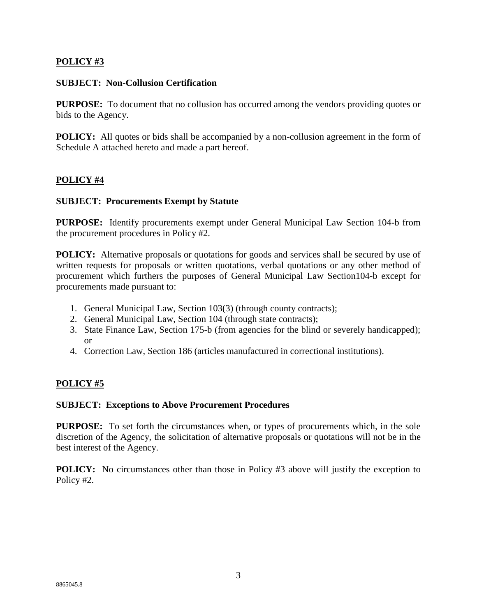# **POLICY #3**

### **SUBJECT: Non-Collusion Certification**

**PURPOSE:** To document that no collusion has occurred among the vendors providing quotes or bids to the Agency.

**POLICY:** All quotes or bids shall be accompanied by a non-collusion agreement in the form of Schedule A attached hereto and made a part hereof.

# **POLICY #4**

### **SUBJECT: Procurements Exempt by Statute**

**PURPOSE:** Identify procurements exempt under General Municipal Law Section 104-b from the procurement procedures in Policy #2.

**POLICY:** Alternative proposals or quotations for goods and services shall be secured by use of written requests for proposals or written quotations, verbal quotations or any other method of procurement which furthers the purposes of General Municipal Law Section104-b except for procurements made pursuant to:

- 1. General Municipal Law, Section 103(3) (through county contracts);
- 2. General Municipal Law, Section 104 (through state contracts);
- 3. State Finance Law, Section 175-b (from agencies for the blind or severely handicapped); or
- 4. Correction Law, Section 186 (articles manufactured in correctional institutions).

### **POLICY #5**

#### **SUBJECT: Exceptions to Above Procurement Procedures**

**PURPOSE:** To set forth the circumstances when, or types of procurements which, in the sole discretion of the Agency, the solicitation of alternative proposals or quotations will not be in the best interest of the Agency.

**POLICY:** No circumstances other than those in Policy #3 above will justify the exception to Policy #2.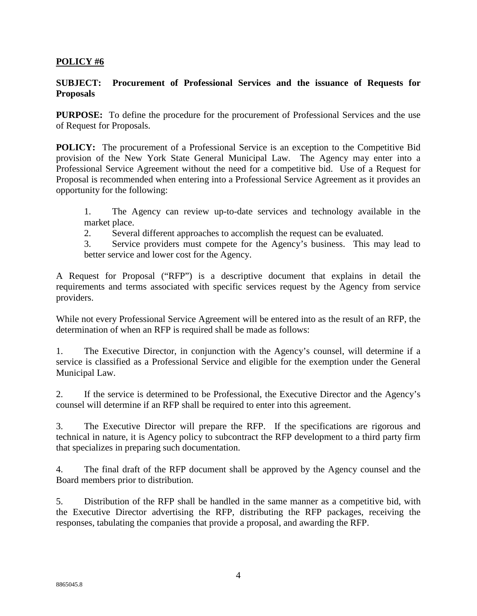### **POLICY #6**

### **SUBJECT: Procurement of Professional Services and the issuance of Requests for Proposals**

**PURPOSE:** To define the procedure for the procurement of Professional Services and the use of Request for Proposals.

**POLICY:** The procurement of a Professional Service is an exception to the Competitive Bid provision of the New York State General Municipal Law. The Agency may enter into a Professional Service Agreement without the need for a competitive bid. Use of a Request for Proposal is recommended when entering into a Professional Service Agreement as it provides an opportunity for the following:

1. The Agency can review up-to-date services and technology available in the market place.

2. Several different approaches to accomplish the request can be evaluated.

3. Service providers must compete for the Agency's business. This may lead to better service and lower cost for the Agency.

A Request for Proposal ("RFP") is a descriptive document that explains in detail the requirements and terms associated with specific services request by the Agency from service providers.

While not every Professional Service Agreement will be entered into as the result of an RFP, the determination of when an RFP is required shall be made as follows:

1. The Executive Director, in conjunction with the Agency's counsel, will determine if a service is classified as a Professional Service and eligible for the exemption under the General Municipal Law.

2. If the service is determined to be Professional, the Executive Director and the Agency's counsel will determine if an RFP shall be required to enter into this agreement.

3. The Executive Director will prepare the RFP. If the specifications are rigorous and technical in nature, it is Agency policy to subcontract the RFP development to a third party firm that specializes in preparing such documentation.

4. The final draft of the RFP document shall be approved by the Agency counsel and the Board members prior to distribution.

5. Distribution of the RFP shall be handled in the same manner as a competitive bid, with the Executive Director advertising the RFP, distributing the RFP packages, receiving the responses, tabulating the companies that provide a proposal, and awarding the RFP.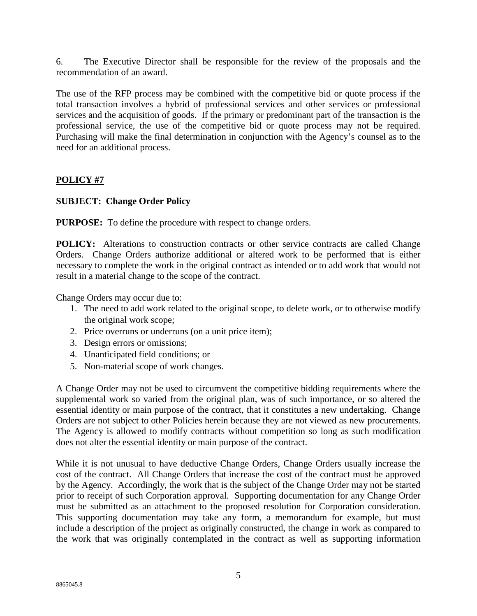6. The Executive Director shall be responsible for the review of the proposals and the recommendation of an award.

The use of the RFP process may be combined with the competitive bid or quote process if the total transaction involves a hybrid of professional services and other services or professional services and the acquisition of goods. If the primary or predominant part of the transaction is the professional service, the use of the competitive bid or quote process may not be required. Purchasing will make the final determination in conjunction with the Agency's counsel as to the need for an additional process.

# **POLICY #7**

# **SUBJECT: Change Order Policy**

**PURPOSE:** To define the procedure with respect to change orders.

**POLICY:** Alterations to construction contracts or other service contracts are called Change Orders. Change Orders authorize additional or altered work to be performed that is either necessary to complete the work in the original contract as intended or to add work that would not result in a material change to the scope of the contract.

Change Orders may occur due to:

- 1. The need to add work related to the original scope, to delete work, or to otherwise modify the original work scope;
- 2. Price overruns or underruns (on a unit price item);
- 3. Design errors or omissions;
- 4. Unanticipated field conditions; or
- 5. Non-material scope of work changes.

A Change Order may not be used to circumvent the competitive bidding requirements where the supplemental work so varied from the original plan, was of such importance, or so altered the essential identity or main purpose of the contract, that it constitutes a new undertaking. Change Orders are not subject to other Policies herein because they are not viewed as new procurements. The Agency is allowed to modify contracts without competition so long as such modification does not alter the essential identity or main purpose of the contract.

While it is not unusual to have deductive Change Orders, Change Orders usually increase the cost of the contract. All Change Orders that increase the cost of the contract must be approved by the Agency. Accordingly, the work that is the subject of the Change Order may not be started prior to receipt of such Corporation approval. Supporting documentation for any Change Order must be submitted as an attachment to the proposed resolution for Corporation consideration. This supporting documentation may take any form, a memorandum for example, but must include a description of the project as originally constructed, the change in work as compared to the work that was originally contemplated in the contract as well as supporting information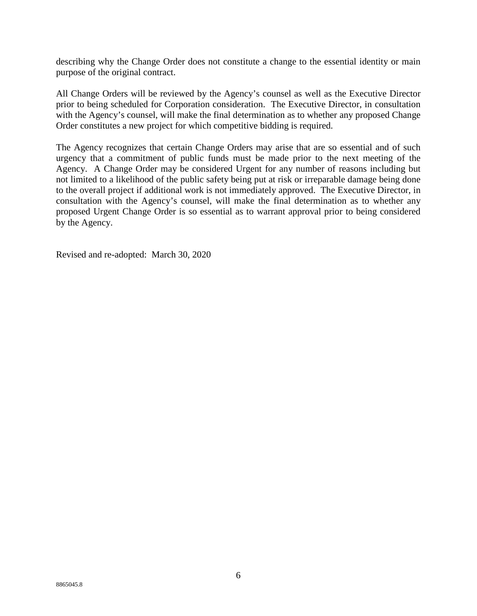describing why the Change Order does not constitute a change to the essential identity or main purpose of the original contract.

All Change Orders will be reviewed by the Agency's counsel as well as the Executive Director prior to being scheduled for Corporation consideration. The Executive Director, in consultation with the Agency's counsel, will make the final determination as to whether any proposed Change Order constitutes a new project for which competitive bidding is required.

The Agency recognizes that certain Change Orders may arise that are so essential and of such urgency that a commitment of public funds must be made prior to the next meeting of the Agency. A Change Order may be considered Urgent for any number of reasons including but not limited to a likelihood of the public safety being put at risk or irreparable damage being done to the overall project if additional work is not immediately approved. The Executive Director, in consultation with the Agency's counsel, will make the final determination as to whether any proposed Urgent Change Order is so essential as to warrant approval prior to being considered by the Agency.

Revised and re-adopted: March 30, 2020